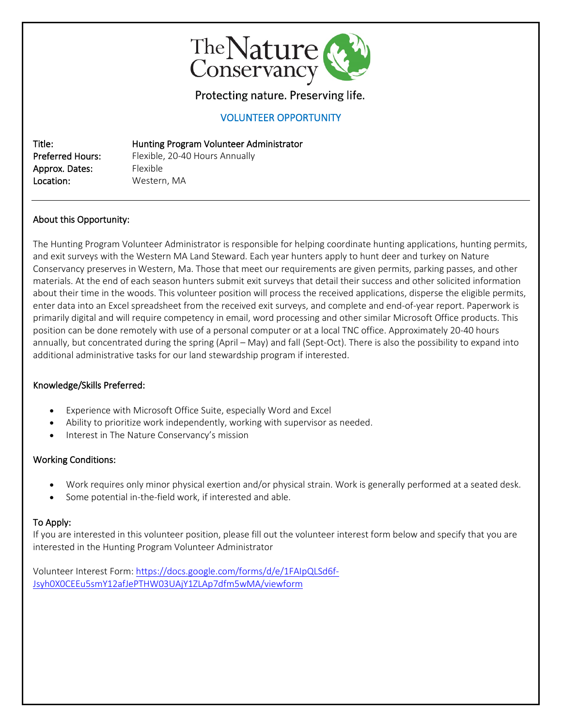

Protecting nature. Preserving life.

## VOLUNTEER OPPORTUNITY

Title: Hunting Program Volunteer Administrator Approx. Dates: Flexible Location: Western, MA

Preferred Hours: Flexible, 20-40 Hours Annually

## About this Opportunity:

The Hunting Program Volunteer Administrator is responsible for helping coordinate hunting applications, hunting permits, and exit surveys with the Western MA Land Steward. Each year hunters apply to hunt deer and turkey on Nature Conservancy preserves in Western, Ma. Those that meet our requirements are given permits, parking passes, and other materials. At the end of each season hunters submit exit surveys that detail their success and other solicited information about their time in the woods. This volunteer position will process the received applications, disperse the eligible permits, enter data into an Excel spreadsheet from the received exit surveys, and complete and end-of-year report. Paperwork is primarily digital and will require competency in email, word processing and other similar Microsoft Office products. This position can be done remotely with use of a personal computer or at a local TNC office. Approximately 20-40 hours annually, but concentrated during the spring (April – May) and fall (Sept-Oct). There is also the possibility to expand into additional administrative tasks for our land stewardship program if interested.

#### Knowledge/Skills Preferred:

- Experience with Microsoft Office Suite, especially Word and Excel
- Ability to prioritize work independently, working with supervisor as needed.
- Interest in The Nature Conservancy's mission

## Working Conditions:

- Work requires only minor physical exertion and/or physical strain. Work is generally performed at a seated desk.
- Some potential in-the-field work, if interested and able.

## To Apply:

If you are interested in this volunteer position, please fill out the volunteer interest form below and specify that you are interested in the Hunting Program Volunteer Administrator

Volunteer Interest Form: [https://docs.google.com/forms/d/e/1FAIpQLSd6f-](https://docs.google.com/forms/d/e/1FAIpQLSd6f-Jsyh0X0CEEu5smY12afJePTHW03UAjY1ZLAp7dfm5wMA/viewform)[Jsyh0X0CEEu5smY12afJePTHW03UAjY1ZLAp7dfm5wMA/viewform](https://docs.google.com/forms/d/e/1FAIpQLSd6f-Jsyh0X0CEEu5smY12afJePTHW03UAjY1ZLAp7dfm5wMA/viewform)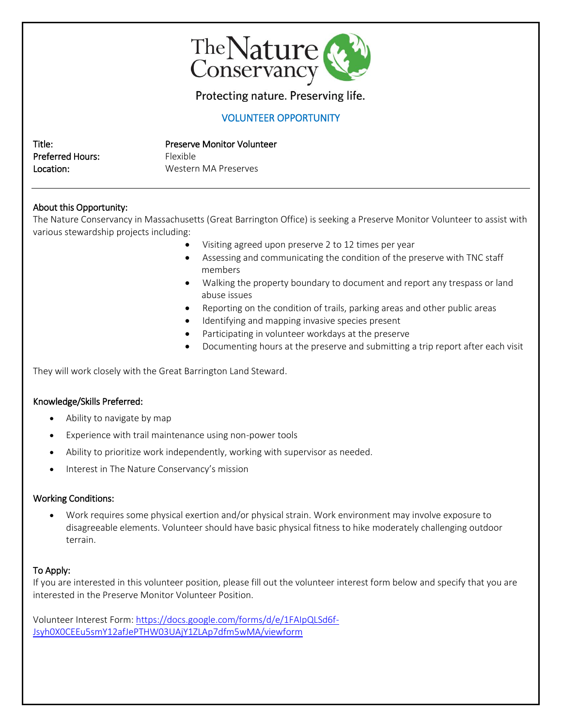

# Protecting nature. Preserving life.

## VOLUNTEER OPPORTUNITY

| Title:                  | <b>Preserve Monitor Volunteer</b> |
|-------------------------|-----------------------------------|
| <b>Preferred Hours:</b> | <b>Elexible</b>                   |
| Location:               | Western MA Preserves              |

## About this Opportunity:

The Nature Conservancy in Massachusetts (Great Barrington Office) is seeking a Preserve Monitor Volunteer to assist with various stewardship projects including:

- Visiting agreed upon preserve 2 to 12 times per year
- Assessing and communicating the condition of the preserve with TNC staff members
- Walking the property boundary to document and report any trespass or land abuse issues
- Reporting on the condition of trails, parking areas and other public areas
- Identifying and mapping invasive species present
- Participating in volunteer workdays at the preserve
- Documenting hours at the preserve and submitting a trip report after each visit

They will work closely with the Great Barrington Land Steward.

#### Knowledge/Skills Preferred:

- Ability to navigate by map
- Experience with trail maintenance using non-power tools
- Ability to prioritize work independently, working with supervisor as needed.
- Interest in The Nature Conservancy's mission

#### Working Conditions:

• Work requires some physical exertion and/or physical strain. Work environment may involve exposure to disagreeable elements. Volunteer should have basic physical fitness to hike moderately challenging outdoor terrain.

## To Apply:

If you are interested in this volunteer position, please fill out the volunteer interest form below and specify that you are interested in the Preserve Monitor Volunteer Position.

Volunteer Interest Form: [https://docs.google.com/forms/d/e/1FAIpQLSd6f-](https://docs.google.com/forms/d/e/1FAIpQLSd6f-Jsyh0X0CEEu5smY12afJePTHW03UAjY1ZLAp7dfm5wMA/viewform)[Jsyh0X0CEEu5smY12afJePTHW03UAjY1ZLAp7dfm5wMA/viewform](https://docs.google.com/forms/d/e/1FAIpQLSd6f-Jsyh0X0CEEu5smY12afJePTHW03UAjY1ZLAp7dfm5wMA/viewform)